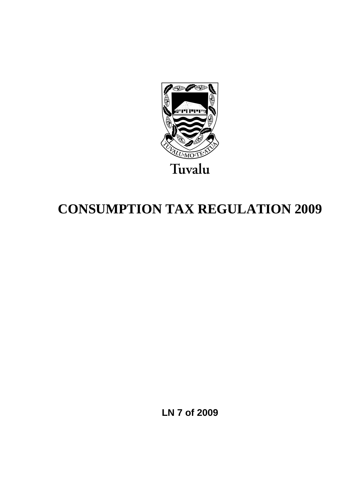

# **CONSUMPTION TAX REGULATION 2009**

**LN 7 of 2009**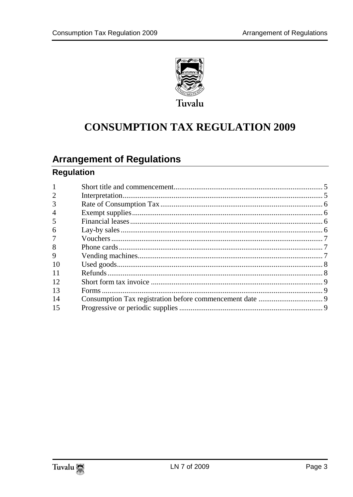

# **CONSUMPTION TAX REGULATION 2009**

### **Arrangement of Regulations**

### **Regulation**

| $\overline{2}$ |  |
|----------------|--|
| 3              |  |
| $\overline{4}$ |  |
| 5              |  |
| 6              |  |
| 7              |  |
| 8              |  |
| 9              |  |
| 10             |  |
| 11             |  |
| 12             |  |
| 13             |  |
| 14             |  |
| 15             |  |

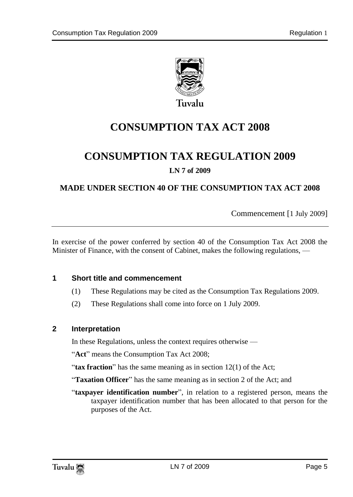

Tuvalu

# **CONSUMPTION TAX ACT 2008**

## **CONSUMPTION TAX REGULATION 2009**

#### **LN 7 of 2009**

#### **MADE UNDER SECTION 40 OF THE CONSUMPTION TAX ACT 2008**

Commencement [1 July 2009]

In exercise of the power conferred by section 40 of the Consumption Tax Act 2008 the Minister of Finance, with the consent of Cabinet, makes the following regulations, —

#### <span id="page-4-0"></span>**1 Short title and commencement**

- (1) These Regulations may be cited as the Consumption Tax Regulations 2009.
- (2) These Regulations shall come into force on 1 July 2009.

#### <span id="page-4-1"></span>**2 Interpretation**

In these Regulations, unless the context requires otherwise —

"**Act**" means the Consumption Tax Act 2008;

"**tax fraction**" has the same meaning as in section 12(1) of the Act;

"**Taxation Officer**" has the same meaning as in section 2 of the Act; and

"**taxpayer identification number**", in relation to a registered person, means the taxpayer identification number that has been allocated to that person for the purposes of the Act.

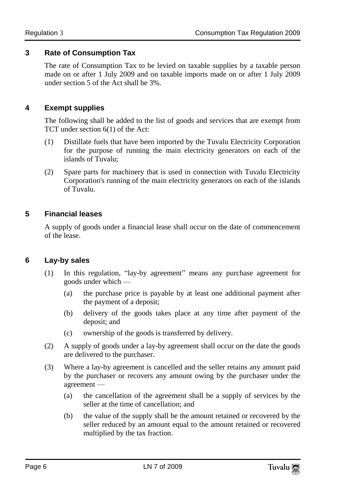#### <span id="page-5-0"></span>**3 Rate of Consumption Tax**

The rate of Consumption Tax to be levied on taxable supplies by a taxable person made on or after 1 July 2009 and on taxable imports made on or after 1 July 2009 under section 5 of the Act shall be 3%.

#### <span id="page-5-1"></span>**4 Exempt supplies**

The following shall be added to the list of goods and services that are exempt from TCT under section 6(1) of the Act:

- (1) Distillate fuels that have been imported by the Tuvalu Electricity Corporation for the purpose of running the main electricity generators on each of the islands of Tuvalu;
- (2) Spare parts for machinery that is used in connection with Tuvalu Electricity Corporation's running of the main electricity generators on each of the islands of Tuvalu.

#### <span id="page-5-2"></span>**5 Financial leases**

A supply of goods under a financial lease shall occur on the date of commencement of the lease.

#### <span id="page-5-3"></span>**6 Lay-by sales**

- (1) In this regulation, "lay-by agreement" means any purchase agreement for goods under which —
	- (a) the purchase price is payable by at least one additional payment after the payment of a deposit;
	- (b) delivery of the goods takes place at any time after payment of the deposit; and
	- (c) ownership of the goods is transferred by delivery.
- (2) A supply of goods under a lay-by agreement shall occur on the date the goods are delivered to the purchaser.
- (3) Where a lay-by agreement is cancelled and the seller retains any amount paid by the purchaser or recovers any amount owing by the purchaser under the agreement —
	- (a) the cancellation of the agreement shall be a supply of services by the seller at the time of cancellation; and
	- (b) the value of the supply shall be the amount retained or recovered by the seller reduced by an amount equal to the amount retained or recovered multiplied by the tax fraction.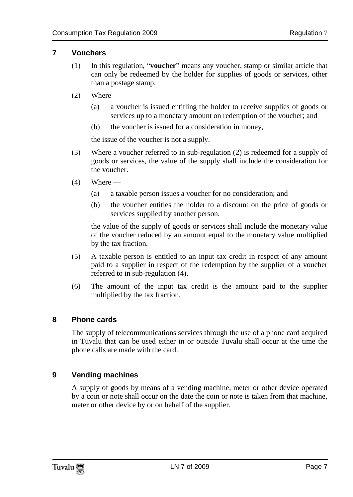#### <span id="page-6-0"></span>**7 Vouchers**

- (1) In this regulation, "**voucher**" means any voucher, stamp or similar article that can only be redeemed by the holder for supplies of goods or services, other than a postage stamp.
- $(2)$  Where
	- (a) a voucher is issued entitling the holder to receive supplies of goods or services up to a monetary amount on redemption of the voucher; and
	- (b) the voucher is issued for a consideration in money,

the issue of the voucher is not a supply.

- (3) Where a voucher referred to in sub-regulation (2) is redeemed for a supply of goods or services, the value of the supply shall include the consideration for the voucher.
- $(4)$  Where
	- (a) a taxable person issues a voucher for no consideration; and
	- (b) the voucher entitles the holder to a discount on the price of goods or services supplied by another person,

the value of the supply of goods or services shall include the monetary value of the voucher reduced by an amount equal to the monetary value multiplied by the tax fraction.

- (5) A taxable person is entitled to an input tax credit in respect of any amount paid to a supplier in respect of the redemption by the supplier of a voucher referred to in sub-regulation (4).
- (6) The amount of the input tax credit is the amount paid to the supplier multiplied by the tax fraction.

#### <span id="page-6-1"></span>**8 Phone cards**

The supply of telecommunications services through the use of a phone card acquired in Tuvalu that can be used either in or outside Tuvalu shall occur at the time the phone calls are made with the card.

#### <span id="page-6-2"></span>**9 Vending machines**

A supply of goods by means of a vending machine, meter or other device operated by a coin or note shall occur on the date the coin or note is taken from that machine, meter or other device by or on behalf of the supplier.

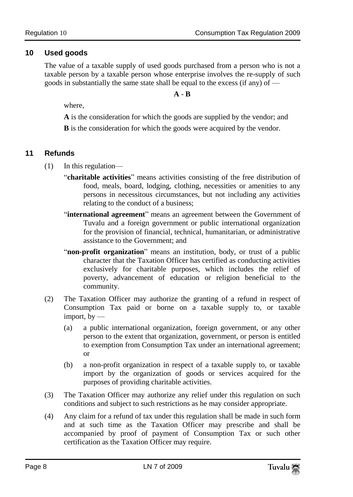#### <span id="page-7-0"></span>**10 Used goods**

The value of a taxable supply of used goods purchased from a person who is not a taxable person by a taxable person whose enterprise involves the re-supply of such goods in substantially the same state shall be equal to the excess (if any) of —

#### **A** - **B**

where,

**A** is the consideration for which the goods are supplied by the vendor; and

**B** is the consideration for which the goods were acquired by the vendor.

#### <span id="page-7-1"></span>**11 Refunds**

- (1) In this regulation—
	- "**charitable activities**" means activities consisting of the free distribution of food, meals, board, lodging, clothing, necessities or amenities to any persons in necessitous circumstances, but not including any activities relating to the conduct of a business;
	- "**international agreement**" means an agreement between the Government of Tuvalu and a foreign government or public international organization for the provision of financial, technical, humanitarian, or administrative assistance to the Government; and
	- "non-profit organization" means an institution, body, or trust of a public character that the Taxation Officer has certified as conducting activities exclusively for charitable purposes, which includes the relief of poverty, advancement of education or religion beneficial to the community.
- (2) The Taxation Officer may authorize the granting of a refund in respect of Consumption Tax paid or borne on a taxable supply to, or taxable import,  $by$  —
	- (a) a public international organization, foreign government, or any other person to the extent that organization, government, or person is entitled to exemption from Consumption Tax under an international agreement; or
	- (b) a non-profit organization in respect of a taxable supply to, or taxable import by the organization of goods or services acquired for the purposes of providing charitable activities.
- (3) The Taxation Officer may authorize any relief under this regulation on such conditions and subject to such restrictions as he may consider appropriate.
- (4) Any claim for a refund of tax under this regulation shall be made in such form and at such time as the Taxation Officer may prescribe and shall be accompanied by proof of payment of Consumption Tax or such other certification as the Taxation Officer may require.